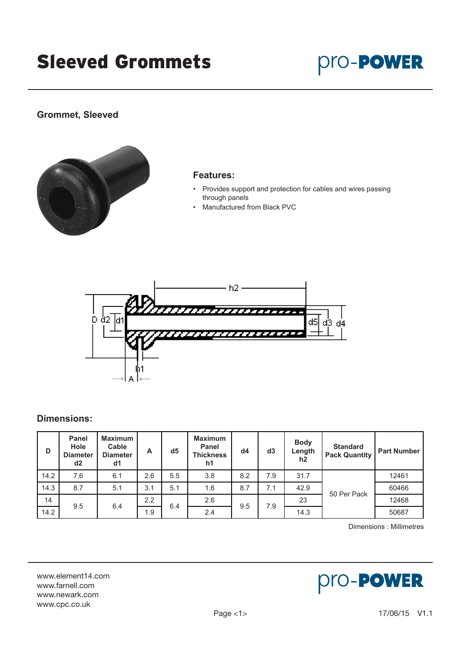# Sleeved Grommets

# pro-**PowER**

### **Grommet, Sleeved**



#### **Features:**

- Provides support and protection for cables and wires passing through panels
- Manufactured from Black PVC



#### **Dimensions:**

| D    | <b>Panel</b><br><b>Hole</b><br><b>Diameter</b><br>d2 | <b>Maximum</b><br>Cable<br><b>Diameter</b><br>d1 | A   | d <sub>5</sub> | <b>Maximum</b><br>Panel<br><b>Thickness</b><br>h1 | d4  | d3  | <b>Body</b><br>Length<br>h2 | <b>Standard</b><br><b>Pack Quantity</b> | <b>Part Number</b> |
|------|------------------------------------------------------|--------------------------------------------------|-----|----------------|---------------------------------------------------|-----|-----|-----------------------------|-----------------------------------------|--------------------|
| 14.2 | 7.6                                                  | 6.1                                              | 2.6 | 5.5            | 3.8                                               | 8.2 | 7.9 | 31.7                        |                                         | 12461              |
| 14.3 | 8.7                                                  | 5.1                                              | 3.1 | 5.1            | 1.6                                               | 8.7 | 7.1 | 42.9                        | 50 Per Pack                             | 60466              |
| 14   | 9.5                                                  | 6.4                                              | 2.2 | 6.4            | 2.6                                               | 9.5 | 7.9 | 23                          |                                         | 12468              |
| 14.2 |                                                      |                                                  | 1.9 |                | 2.4                                               |     |     | 14.3                        |                                         | 50687              |

Dimensions : Millimetres

www.element14.com www.farnell.com www.newark.com www.cpc.co.uk

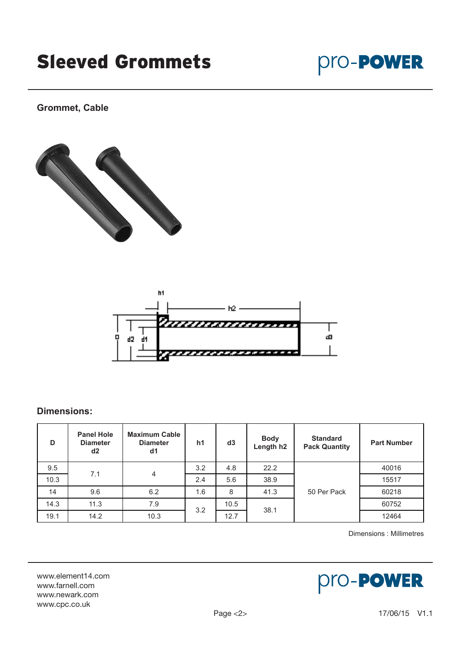# Sleeved Grommets



**Grommet, Cable**





#### **Dimensions:**

| D    | <b>Panel Hole</b><br><b>Diameter</b><br>d2 | <b>Maximum Cable</b><br><b>Diameter</b><br>d1 | h <sub>1</sub> | d3   | <b>Body</b><br>Length h <sub>2</sub> | <b>Standard</b><br><b>Pack Quantity</b> | <b>Part Number</b> |
|------|--------------------------------------------|-----------------------------------------------|----------------|------|--------------------------------------|-----------------------------------------|--------------------|
| 9.5  | 7.1                                        | $\overline{4}$                                | 3.2            | 4.8  | 22.2                                 |                                         | 40016              |
| 10.3 |                                            |                                               | 2.4            | 5.6  | 38.9                                 |                                         | 15517              |
| 14   | 9.6                                        | 6.2                                           | 1.6            | 8    | 41.3                                 | 50 Per Pack                             | 60218              |
| 14.3 | 11.3                                       | 7.9                                           | 3.2            | 10.5 | 38.1                                 |                                         | 60752              |
| 19.1 | 14.2                                       | 10.3                                          |                | 12.7 |                                      |                                         | 12464              |

Dimensions : Millimetres

www.element14.com www.farnell.com www.newark.com www.cpc.co.uk